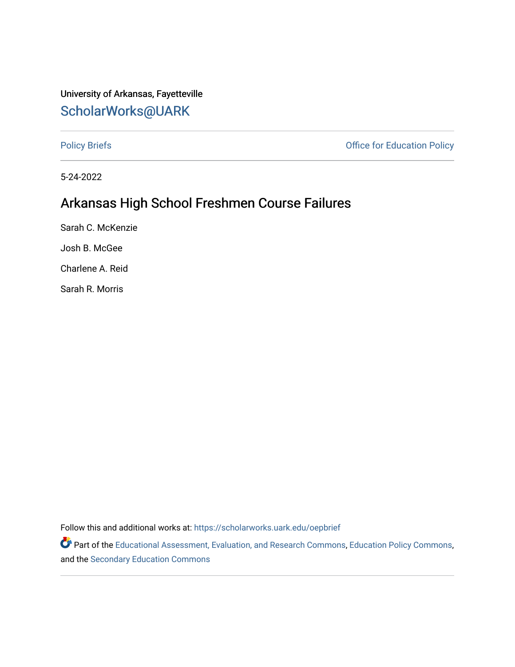#### University of Arkansas, Fayetteville [ScholarWorks@UARK](https://scholarworks.uark.edu/)

[Policy Briefs](https://scholarworks.uark.edu/oepbrief) **Policy Briefs Policy** Briefs **Policy Office for Education Policy** 

5-24-2022

### Arkansas High School Freshmen Course Failures

Sarah C. McKenzie Josh B. McGee

Charlene A. Reid

Sarah R. Morris

Follow this and additional works at: [https://scholarworks.uark.edu/oepbrief](https://scholarworks.uark.edu/oepbrief?utm_source=scholarworks.uark.edu%2Foepbrief%2F162&utm_medium=PDF&utm_campaign=PDFCoverPages) 

Part of the [Educational Assessment, Evaluation, and Research Commons](https://network.bepress.com/hgg/discipline/796?utm_source=scholarworks.uark.edu%2Foepbrief%2F162&utm_medium=PDF&utm_campaign=PDFCoverPages), [Education Policy Commons,](https://network.bepress.com/hgg/discipline/1026?utm_source=scholarworks.uark.edu%2Foepbrief%2F162&utm_medium=PDF&utm_campaign=PDFCoverPages) and the [Secondary Education Commons](https://network.bepress.com/hgg/discipline/1382?utm_source=scholarworks.uark.edu%2Foepbrief%2F162&utm_medium=PDF&utm_campaign=PDFCoverPages)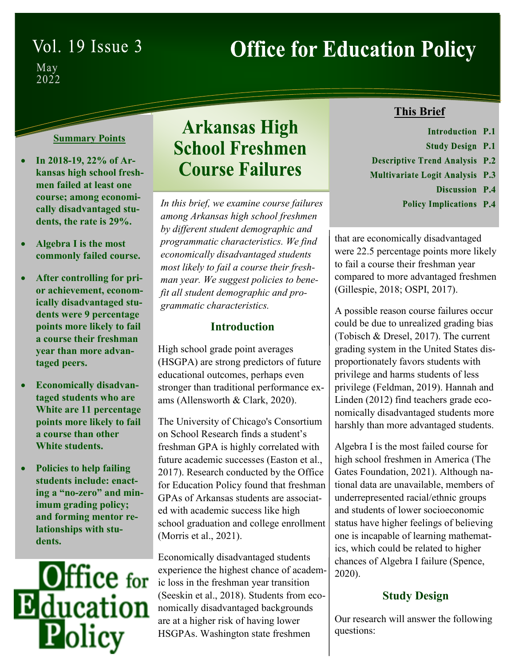# Vol. 19 Issue 3

# **Office for Education Policy**

 $\begin{array}{c}\text{May} \\ \text{2022}\end{array}$ 

#### **Summary Points**

- **In 2018-19, 22% of Arkansas high school freshmen failed at least one course; among economically disadvantaged students, the rate is 29%.**
- **Algebra I is the most commonly failed course.**
- **After controlling for prior achievement, economically disadvantaged students were 9 percentage points more likely to fail a course their freshman year than more advantaged peers.**
- **Economically disadvantaged students who are White are 11 percentage points more likely to fail a course than other White students.**
- **Policies to help failing students include: enacting a "no-zero" and minimum grading policy; and forming mentor relationships with students.**



# **Arkansas High School Freshmen Course Failures**

*In this brief, we examine course failures among Arkansas high school freshmen by different student demographic and programmatic characteristics. We find economically disadvantaged students most likely to fail a course their freshman year. We suggest policies to benefit all student demographic and programmatic characteristics.*

#### **Introduction**

High school grade point averages (HSGPA) are strong predictors of future educational outcomes, perhaps even stronger than traditional performance exams (Allensworth & Clark, 2020).

The University of Chicago's Consortium on School Research finds a student's freshman GPA is highly correlated with future academic successes (Easton et al., 2017). Research conducted by the Office for Education Policy found that freshman GPAs of Arkansas students are associated with academic success like high school graduation and college enrollment (Morris et al., 2021).

Economically disadvantaged students experience the highest chance of academic loss in the freshman year transition (Seeskin et al., 2018). Students from economically disadvantaged backgrounds are at a higher risk of having lower HSGPAs. Washington state freshmen

#### **This Brief**

- Introduction P.1
- **Study Design P.1**
- **Descriptive Trend Analysis P.2**
- **Multivariate Logit Analysis P.3** 
	- Discussion P.4
	- **Policy Implications P.4**

that are economically disadvantaged were 22.5 percentage points more likely to fail a course their freshman year compared to more advantaged freshmen (Gillespie, 2018; OSPI, 2017).

A possible reason course failures occur could be due to unrealized grading bias (Tobisch & Dresel, 2017). The current grading system in the United States disproportionately favors students with privilege and harms students of less privilege (Feldman, 2019). Hannah and Linden (2012) find teachers grade economically disadvantaged students more harshly than more advantaged students.

Algebra I is the most failed course for high school freshmen in America (The Gates Foundation, 2021). Although national data are unavailable, members of underrepresented racial/ethnic groups and students of lower socioeconomic status have higher feelings of believing one is incapable of learning mathematics, which could be related to higher chances of Algebra I failure (Spence, 2020).

#### **Study Design**

Our research will answer the following questions: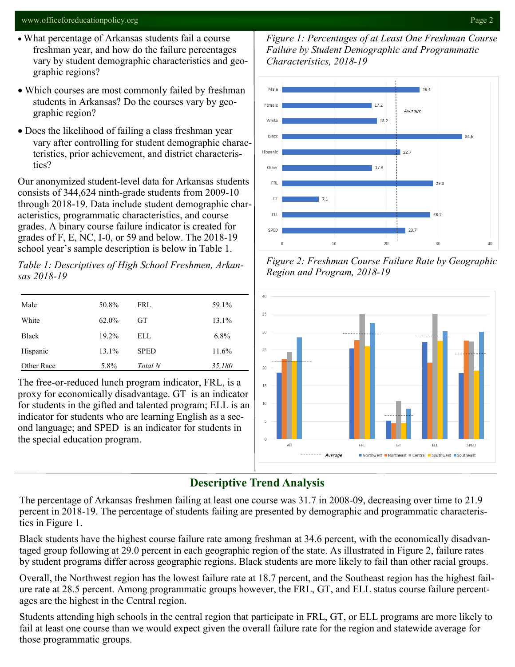#### www.officeforeducationpolicy.org Page 2

- What percentage of Arkansas students fail a course freshman year, and how do the failure percentages vary by student demographic characteristics and geographic regions?
- Which courses are most commonly failed by freshman students in Arkansas? Do the courses vary by geographic region?
- Does the likelihood of failing a class freshman year vary after controlling for student demographic characteristics, prior achievement, and district characteristics?

Our anonymized student-level data for Arkansas students consists of 344,624 ninth-grade students from 2009-10 through 2018-19. Data include student demographic characteristics, programmatic characteristics, and course grades. A binary course failure indicator is created for grades of F, E, NC, I-0, or 59 and below. The 2018-19 school year's sample description is below in Table 1.

*Table 1: Descriptives of High School Freshmen, Arkansas 2018-19*

| Male         | 50.8% | FRL         | 59.1%   |
|--------------|-------|-------------|---------|
| White        | 62.0% | <b>GT</b>   | 13.1%   |
| <b>Black</b> | 19.2% | ELL         | $6.8\%$ |
| Hispanic     | 13.1% | <b>SPED</b> | 11.6%   |
| Other Race   | 5.8%  | Total N     | 35,180  |

The free-or-reduced lunch program indicator, FRL, is a proxy for economically disadvantage. GT is an indicator for students in the gifted and talented program; ELL is an indicator for students who are learning English as a second language; and SPED is an indicator for students in the special education program.

*Figure 1: Percentages of at Least One Freshman Course Failure by Student Demographic and Programmatic Characteristics, 2018-19*



*Figure 2: Freshman Course Failure Rate by Geographic Region and Program, 2018-19*



#### **Descriptive Trend Analysis**

The percentage of Arkansas freshmen failing at least one course was 31.7 in 2008-09, decreasing over time to 21.9 percent in 2018-19. The percentage of students failing are presented by demographic and programmatic characteristics in Figure 1.

Black students have the highest course failure rate among freshman at 34.6 percent, with the economically disadvantaged group following at 29.0 percent in each geographic region of the state. As illustrated in Figure 2, failure rates by student programs differ across geographic regions. Black students are more likely to fail than other racial groups.

Overall, the Northwest region has the lowest failure rate at 18.7 percent, and the Southeast region has the highest failure rate at 28.5 percent. Among programmatic groups however, the FRL, GT, and ELL status course failure percentages are the highest in the Central region.

Students attending high schools in the central region that participate in FRL, GT, or ELL programs are more likely to fail at least one course than we would expect given the overall failure rate for the region and statewide average for those programmatic groups.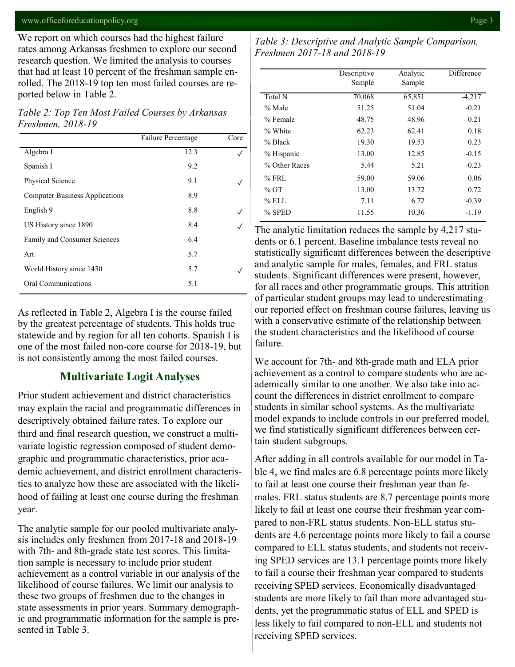#### www.officeforeducationpolicy.org Page 3

We report on which courses had the highest failure rates among Arkansas freshmen to explore our second research question. We limited the analysis to courses that had at least 10 percent of the freshman sample enrolled. The 2018-19 top ten most failed courses are reported below in Table 2.

*Table 2: Top Ten Most Failed Courses by Arkansas Freshmen, 2018-19*

|                                       | Failure Percentage | Core |
|---------------------------------------|--------------------|------|
| Algebra I                             | 12.3               |      |
| Spanish I                             | 9.2                |      |
| Physical Science                      | 9.1                |      |
| <b>Computer Business Applications</b> | 8.9                |      |
| English 9                             | 8.8                |      |
| US History since 1890                 | 8.4                |      |
| Family and Consumer Sciences          | 6.4                |      |
| Art                                   | 5.7                |      |
| World History since 1450              | 5.7                |      |
| Oral Communications                   | 5.1                |      |

As reflected in Table 2, Algebra I is the course failed by the greatest percentage of students. This holds true statewide and by region for all ten cohorts. Spanish I is one of the most failed non-core course for 2018-19, but is not consistently among the most failed courses.

#### **Multivariate Logit Analyses**

Prior student achievement and district characteristics may explain the racial and programmatic differences in descriptively obtained failure rates. To explore our third and final research question, we construct a multivariate logistic regression composed of student demographic and programmatic characteristics, prior academic achievement, and district enrollment characteristics to analyze how these are associated with the likelihood of failing at least one course during the freshman year.

The analytic sample for our pooled multivariate analysis includes only freshmen from 2017-18 and 2018-19 with 7th- and 8th-grade state test scores. This limitation sample is necessary to include prior student achievement as a control variable in our analysis of the likelihood of course failures. We limit our analysis to these two groups of freshmen due to the changes in state assessments in prior years. Summary demographic and programmatic information for the sample is presented in Table 3.

*Table 3: Descriptive and Analytic Sample Comparison, Freshmen 2017-18 and 2018-19*

|               | Descriptive<br>Sample | Analytic<br>Sample | Difference |
|---------------|-----------------------|--------------------|------------|
| Total N       | 70,068                | 65,851             | $-4,217$   |
| % Male        | 51.25                 | 51.04              | $-0.21$    |
| % Female      | 48.75                 | 48.96              | 0.21       |
| % White       | 62.23                 | 62.41              | 0.18       |
| % Black       | 19.30                 | 19.53              | 0.23       |
| % Hispanic    | 13.00                 | 12.85              | $-0.15$    |
| % Other Races | 5.44                  | 5.21               | $-0.23$    |
| $%$ FRL       | 59.00                 | 59.06              | 0.06       |
| $%$ GT        | 13.00                 | 13.72              | 0.72       |
| % ELL         | 7.11                  | 6.72               | $-0.39$    |
| % SPED        | 11.55                 | 10.36              | $-1.19$    |

The analytic limitation reduces the sample by 4,217 students or 6.1 percent. Baseline imbalance tests reveal no statistically significant differences between the descriptive and analytic sample for males, females, and FRL status students. Significant differences were present, however, for all races and other programmatic groups. This attrition of particular student groups may lead to underestimating our reported effect on freshman course failures, leaving us with a conservative estimate of the relationship between the student characteristics and the likelihood of course failure.

We account for 7th- and 8th-grade math and ELA prior achievement as a control to compare students who are academically similar to one another. We also take into account the differences in district enrollment to compare students in similar school systems. As the multivariate model expands to include controls in our preferred model, we find statistically significant differences between certain student subgroups.

After adding in all controls available for our model in Table 4, we find males are 6.8 percentage points more likely to fail at least one course their freshman year than females. FRL status students are 8.7 percentage points more likely to fail at least one course their freshman year compared to non-FRL status students. Non-ELL status students are 4.6 percentage points more likely to fail a course compared to ELL status students, and students not receiving SPED services are 13.1 percentage points more likely to fail a course their freshman year compared to students receiving SPED services. Economically disadvantaged students are more likely to fail than more advantaged students, yet the programmatic status of ELL and SPED is less likely to fail compared to non-ELL and students not receiving SPED services.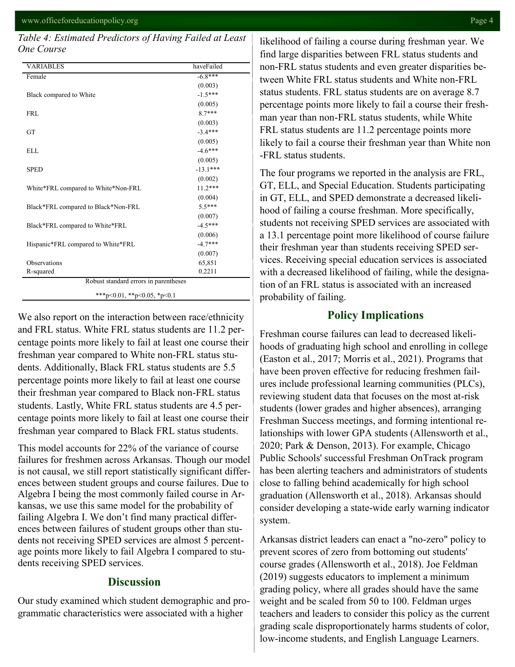#### *Table 4: Estimated Predictors of Having Failed at Least One Course*

| <b>VARIABLES</b>                      | haveFailed |  |  |  |
|---------------------------------------|------------|--|--|--|
| Female                                | $-6.8***$  |  |  |  |
|                                       | (0.003)    |  |  |  |
| Black compared to White               | $-1.5***$  |  |  |  |
|                                       | (0.005)    |  |  |  |
| <b>FRL</b>                            | $8.7***$   |  |  |  |
|                                       | (0.003)    |  |  |  |
| <b>GT</b>                             | $-3.4***$  |  |  |  |
|                                       | (0.005)    |  |  |  |
| <b>ELL</b>                            | $-4.6***$  |  |  |  |
|                                       | (0.005)    |  |  |  |
| <b>SPED</b>                           | $-13.1***$ |  |  |  |
|                                       | (0.002)    |  |  |  |
| White*FRL compared to White*Non-FRL   | $11.2***$  |  |  |  |
|                                       | (0.004)    |  |  |  |
| Black*FRL compared to Black*Non-FRL   | $5.5***$   |  |  |  |
|                                       | (0.007)    |  |  |  |
| Black*FRL compared to White*FRL       | $-4.5***$  |  |  |  |
|                                       | (0.006)    |  |  |  |
| Hispanic*FRL compared to White*FRL    | $-4.7***$  |  |  |  |
|                                       | (0.007)    |  |  |  |
| Observations                          | 65,851     |  |  |  |
| R-squared                             | 0.2211     |  |  |  |
| Robust standard errors in parentheses |            |  |  |  |
| ***p<0.01, **p<0.05, *p<0.1           |            |  |  |  |

We also report on the interaction between race/ethnicity and FRL status. White FRL status students are 11.2 percentage points more likely to fail at least one course their freshman year compared to White non-FRL status students. Additionally, Black FRL status students are 5.5 percentage points more likely to fail at least one course their freshman year compared to Black non-FRL status students. Lastly, White FRL status students are 4.5 percentage points more likely to fail at least one course their freshman year compared to Black FRL status students.

This model accounts for 22% of the variance of course failures for freshmen across Arkansas. Though our model is not causal, we still report statistically significant differences between student groups and course failures. Due to Algebra I being the most commonly failed course in Arkansas, we use this same model for the probability of failing Algebra I. We don't find many practical differences between failures of student groups other than students not receiving SPED services are almost 5 percentage points more likely to fail Algebra I compared to students receiving SPED services.

#### **Discussion**

Our study examined which student demographic and programmatic characteristics were associated with a higher

likelihood of failing a course during freshman year. We find large disparities between FRL status students and non-FRL status students and even greater disparities between White FRL status students and White non-FRL status students. FRL status students are on average 8.7 percentage points more likely to fail a course their freshman year than non-FRL status students, while White FRL status students are 11.2 percentage points more likely to fail a course their freshman year than White non -FRL status students.

The four programs we reported in the analysis are FRL, GT, ELL, and Special Education. Students participating in GT, ELL, and SPED demonstrate a decreased likelihood of failing a course freshman. More specifically, students not receiving SPED services are associated with a 13.1 percentage point more likelihood of course failure their freshman year than students receiving SPED services. Receiving special education services is associated with a decreased likelihood of failing, while the designation of an FRL status is associated with an increased probability of failing.

#### **Policy Implications**

Freshman course failures can lead to decreased likelihoods of graduating high school and enrolling in college (Easton et al., 2017; Morris et al., 2021). Programs that have been proven effective for reducing freshmen failures include professional learning communities (PLCs), reviewing student data that focuses on the most at-risk students (lower grades and higher absences), arranging Freshman Success meetings, and forming intentional relationships with lower GPA students (Allensworth et al., 2020; Park & Denson, 2013). For example, Chicago Public Schools' successful Freshman OnTrack program has been alerting teachers and administrators of students close to falling behind academically for high school graduation (Allensworth et al., 2018). Arkansas should consider developing a state-wide early warning indicator system.

Arkansas district leaders can enact a "no-zero" policy to prevent scores of zero from bottoming out students' course grades (Allensworth et al., 2018). Joe Feldman (2019) suggests educators to implement a minimum grading policy, where all grades should have the same weight and be scaled from 50 to 100. Feldman urges teachers and leaders to consider this policy as the current grading scale disproportionately harms students of color, low-income students, and English Language Learners.